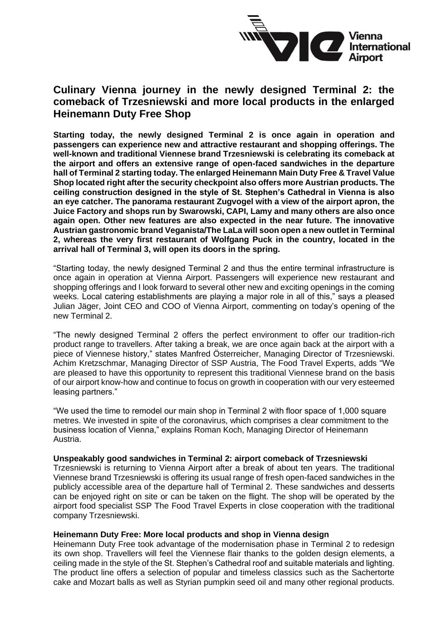

# **Culinary Vienna journey in the newly designed Terminal 2: the comeback of Trzesniewski and more local products in the enlarged Heinemann Duty Free Shop**

**Starting today, the newly designed Terminal 2 is once again in operation and passengers can experience new and attractive restaurant and shopping offerings. The well-known and traditional Viennese brand Trzesniewski is celebrating its comeback at the airport and offers an extensive range of open-faced sandwiches in the departure hall of Terminal 2 starting today. The enlarged Heinemann Main Duty Free & Travel Value Shop located right after the security checkpoint also offers more Austrian products. The ceiling construction designed in the style of St. Stephen's Cathedral in Vienna is also an eye catcher. The panorama restaurant Zugvogel with a view of the airport apron, the Juice Factory and shops run by Swarowski, CAPI, Lamy and many others are also once again open. Other new features are also expected in the near future. The innovative Austrian gastronomic brand Veganista/The LaLa will soon open a new outlet in Terminal 2, whereas the very first restaurant of Wolfgang Puck in the country, located in the arrival hall of Terminal 3, will open its doors in the spring.** 

"Starting today, the newly designed Terminal 2 and thus the entire terminal infrastructure is once again in operation at Vienna Airport. Passengers will experience new restaurant and shopping offerings and I look forward to several other new and exciting openings in the coming weeks. Local catering establishments are playing a major role in all of this," says a pleased Julian Jäger, Joint CEO and COO of Vienna Airport, commenting on today's opening of the new Terminal 2.

"The newly designed Terminal 2 offers the perfect environment to offer our tradition-rich product range to travellers. After taking a break, we are once again back at the airport with a piece of Viennese history," states Manfred Österreicher, Managing Director of Trzesniewski. Achim Kretzschmar, Managing Director of SSP Austria, The Food Travel Experts, adds "We are pleased to have this opportunity to represent this traditional Viennese brand on the basis of our airport know-how and continue to focus on growth in cooperation with our very esteemed leasing partners."

"We used the time to remodel our main shop in Terminal 2 with floor space of 1,000 square metres. We invested in spite of the coronavirus, which comprises a clear commitment to the business location of Vienna," explains Roman Koch, Managing Director of Heinemann Austria.

# **Unspeakably good sandwiches in Terminal 2: airport comeback of Trzesniewski**

Trzesniewski is returning to Vienna Airport after a break of about ten years. The traditional Viennese brand Trzesniewski is offering its usual range of fresh open-faced sandwiches in the publicly accessible area of the departure hall of Terminal 2. These sandwiches and desserts can be enjoyed right on site or can be taken on the flight. The shop will be operated by the airport food specialist SSP The Food Travel Experts in close cooperation with the traditional company Trzesniewski.

# **Heinemann Duty Free: More local products and shop in Vienna design**

Heinemann Duty Free took advantage of the modernisation phase in Terminal 2 to redesign its own shop. Travellers will feel the Viennese flair thanks to the golden design elements, a ceiling made in the style of the St. Stephen's Cathedral roof and suitable materials and lighting. The product line offers a selection of popular and timeless classics such as the Sachertorte cake and Mozart balls as well as Styrian pumpkin seed oil and many other regional products.